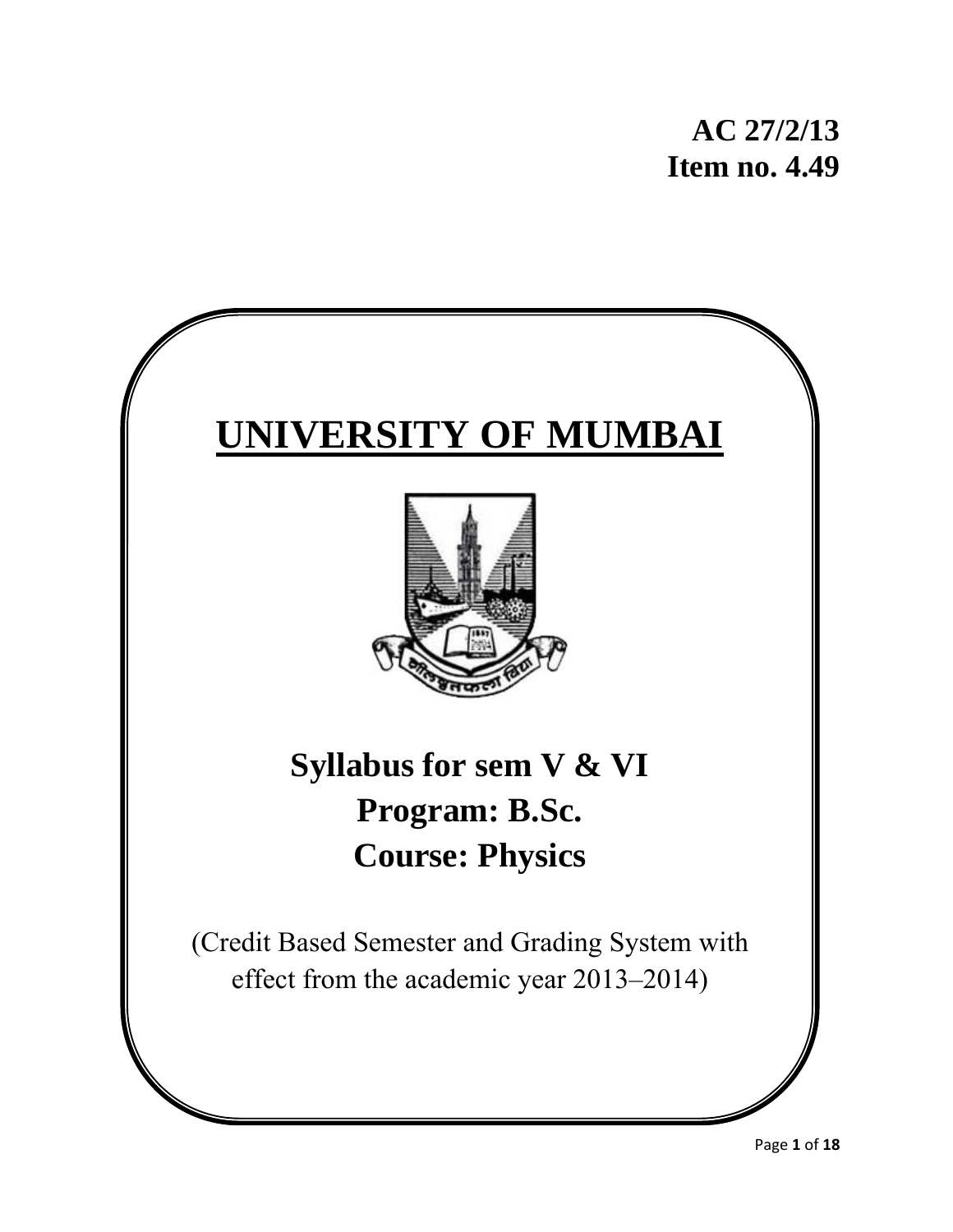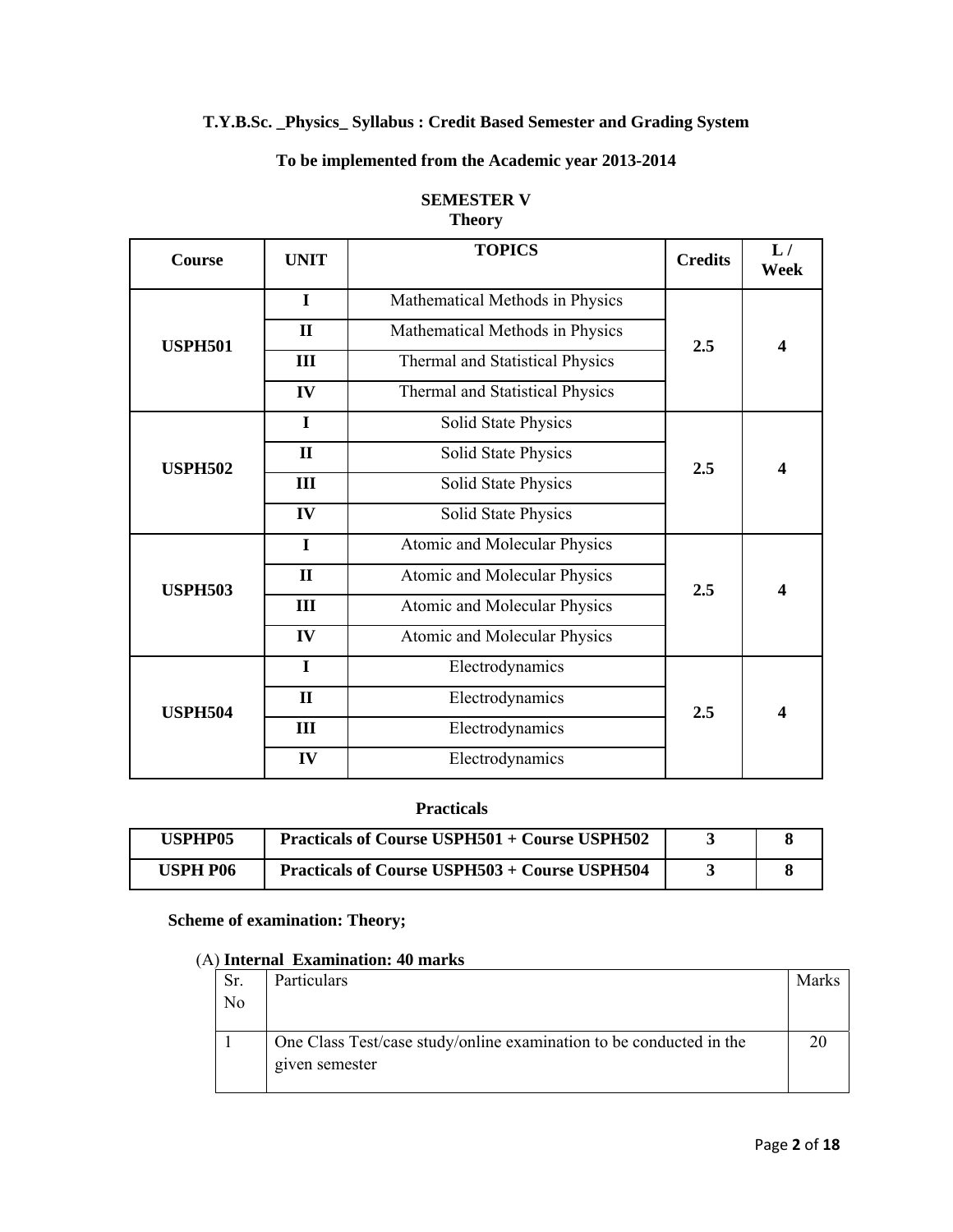## **T.Y.B.Sc. \_Physics\_ Syllabus : Credit Based Semester and Grading System**

## **To be implemented from the Academic year 2013-2014**

| Course         | <b>UNIT</b>  | <b>TOPICS</b>                          | <b>Credits</b> | L/<br>Week              |
|----------------|--------------|----------------------------------------|----------------|-------------------------|
|                | I            | Mathematical Methods in Physics        |                |                         |
| <b>USPH501</b> | $\mathbf{I}$ | Mathematical Methods in Physics        | 2.5            | $\overline{\mathbf{4}}$ |
|                | Ш            | <b>Thermal and Statistical Physics</b> |                |                         |
|                | IV           | Thermal and Statistical Physics        |                |                         |
|                | I            | Solid State Physics                    |                |                         |
| <b>USPH502</b> | $\mathbf{I}$ | Solid State Physics                    | 2.5            | $\boldsymbol{4}$        |
|                | Ш            | Solid State Physics                    |                |                         |
|                | IV           | <b>Solid State Physics</b>             |                |                         |
|                | $\mathbf I$  | Atomic and Molecular Physics           |                |                         |
| <b>USPH503</b> | $\mathbf{I}$ | Atomic and Molecular Physics           | 2.5            | $\boldsymbol{4}$        |
|                | III          | Atomic and Molecular Physics           |                |                         |
|                | IV           | Atomic and Molecular Physics           |                |                         |
|                | I            | Electrodynamics                        |                |                         |
| <b>USPH504</b> | $\mathbf{I}$ | Electrodynamics                        | 2.5            | $\overline{\mathbf{4}}$ |
|                | Ш            | Electrodynamics                        |                |                         |
|                | IV           | Electrodynamics                        |                |                         |

### **SEMESTER V Theory**

### **Practicals**

| USPHP05  | <b>Practicals of Course USPH501 + Course USPH502</b> |  |
|----------|------------------------------------------------------|--|
| USPH P06 | <b>Practicals of Course USPH503 + Course USPH504</b> |  |

## **Scheme of examination: Theory;**

#### (A) **Internal Examination: 40 marks**

| Sr. | Particulars                                                         | Marks |
|-----|---------------------------------------------------------------------|-------|
| No  |                                                                     |       |
|     |                                                                     |       |
|     | One Class Test/case study/online examination to be conducted in the |       |
|     | given semester                                                      |       |
|     |                                                                     |       |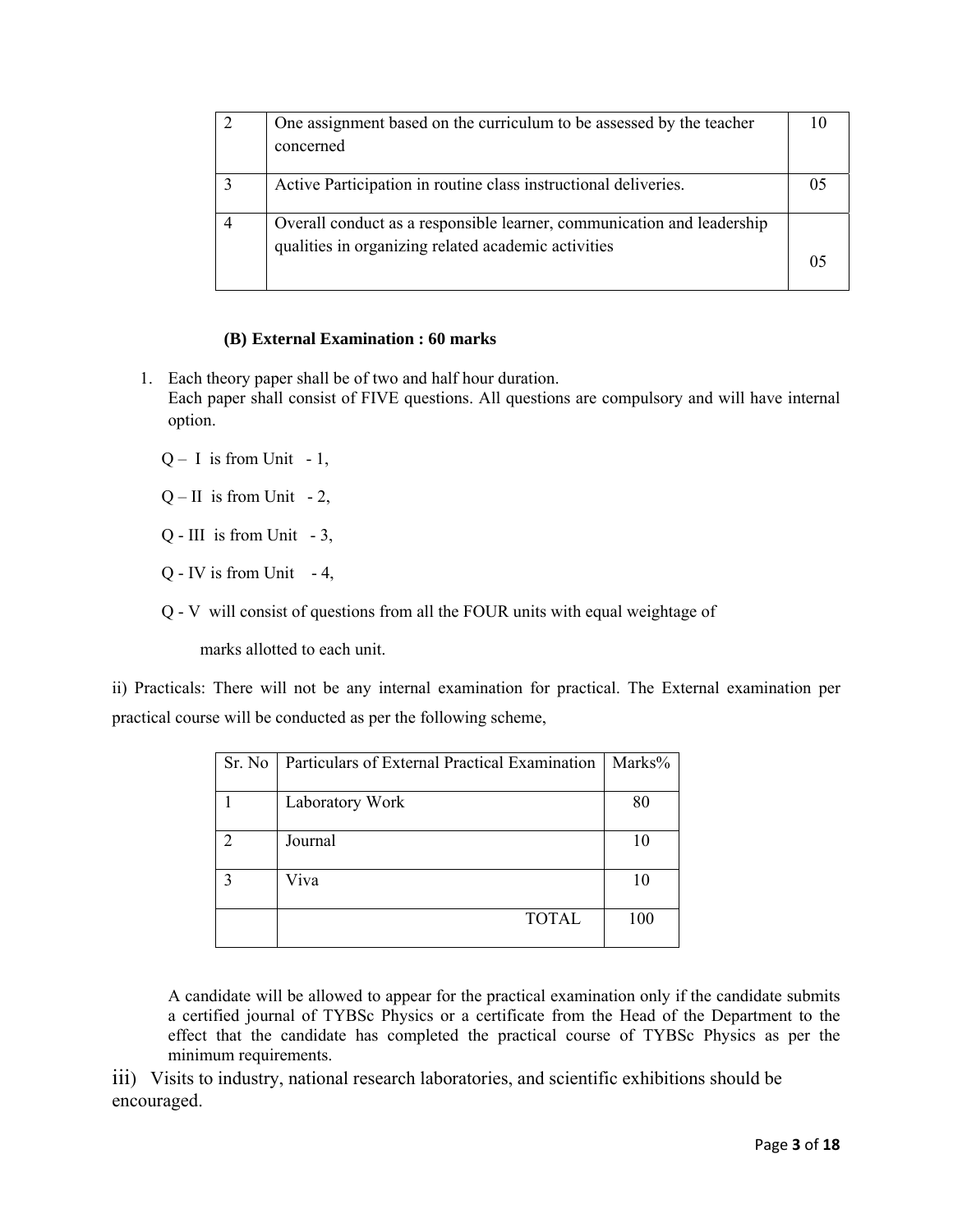| One assignment based on the curriculum to be assessed by the teacher                                                          |  |
|-------------------------------------------------------------------------------------------------------------------------------|--|
| concerned                                                                                                                     |  |
|                                                                                                                               |  |
| Active Participation in routine class instructional deliveries.                                                               |  |
| Overall conduct as a responsible learner, communication and leadership<br>qualities in organizing related academic activities |  |

#### **(B) External Examination : 60 marks**

- 1. Each theory paper shall be of two and half hour duration. Each paper shall consist of FIVE questions. All questions are compulsory and will have internal option.
	- $Q I$  is from Unit 1,
	- $Q$  II is from Unit 2,
	- $Q$  III is from Unit 3,
	- $Q$  IV is from Unit  $-4$ ,
	- Q V will consist of questions from all the FOUR units with equal weightage of

marks allotted to each unit.

ii) Practicals: There will not be any internal examination for practical. The External examination per practical course will be conducted as per the following scheme,

| Sr. No | Particulars of External Practical Examination | Marks% |
|--------|-----------------------------------------------|--------|
|        | Laboratory Work                               | 80     |
| っ      | Journal                                       | 10     |
|        | Viva                                          | 10     |
|        | <b>TOTAL</b>                                  | 100    |

A candidate will be allowed to appear for the practical examination only if the candidate submits a certified journal of TYBSc Physics or a certificate from the Head of the Department to the effect that the candidate has completed the practical course of TYBSc Physics as per the minimum requirements.

iii) Visits to industry, national research laboratories, and scientific exhibitions should be encouraged.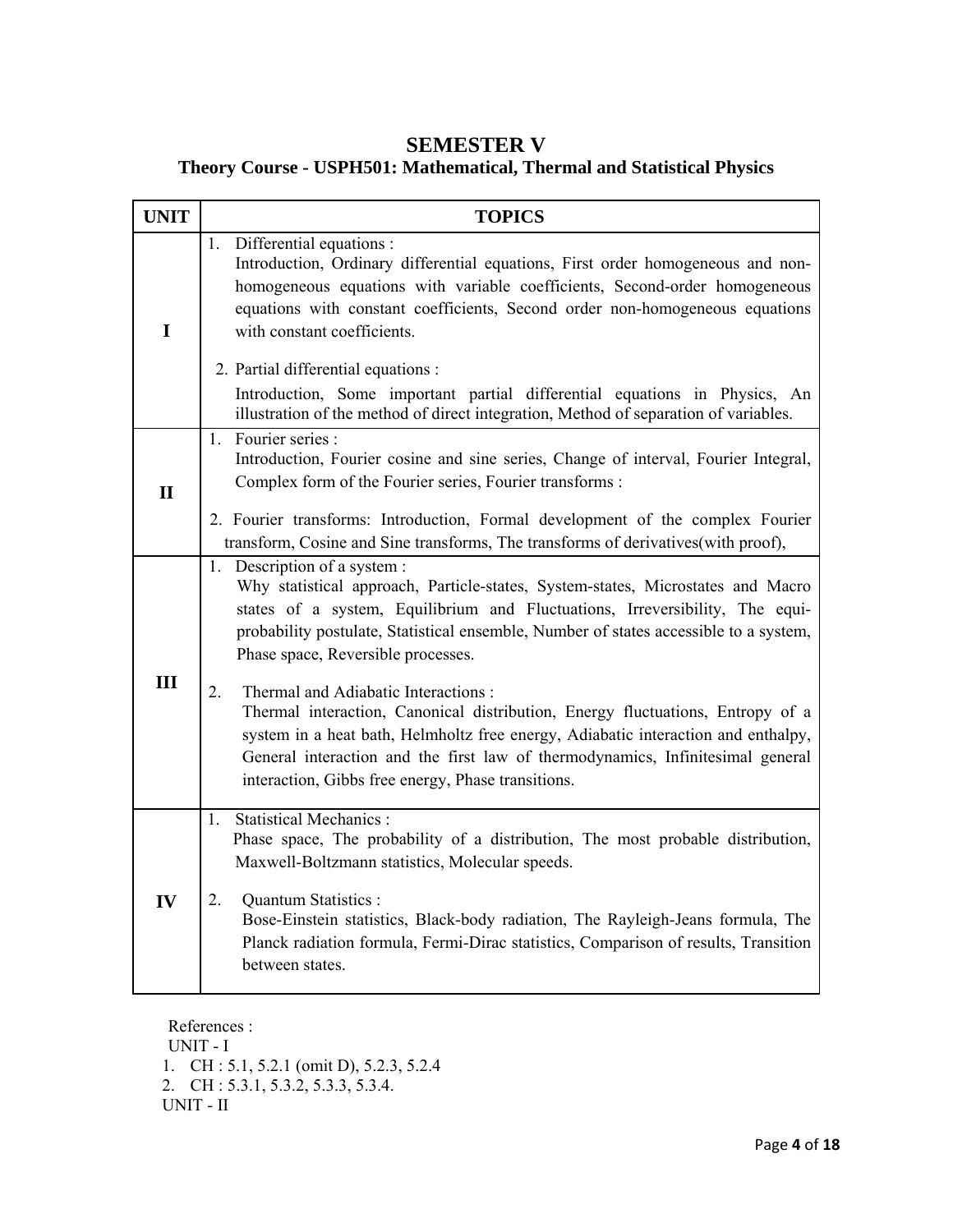# **SEMESTER V**

# **Theory Course - USPH501: Mathematical, Thermal and Statistical Physics**

| <b>UNIT</b>  | <b>TOPICS</b>                                                                                                                                                                                                                                                                                                                                                                                                                    |  |  |
|--------------|----------------------------------------------------------------------------------------------------------------------------------------------------------------------------------------------------------------------------------------------------------------------------------------------------------------------------------------------------------------------------------------------------------------------------------|--|--|
| $\mathbf I$  | 1. Differential equations :<br>Introduction, Ordinary differential equations, First order homogeneous and non-<br>homogeneous equations with variable coefficients, Second-order homogeneous<br>equations with constant coefficients, Second order non-homogeneous equations<br>with constant coefficients.<br>2. Partial differential equations :<br>Introduction, Some important partial differential equations in Physics, An |  |  |
|              | illustration of the method of direct integration, Method of separation of variables.                                                                                                                                                                                                                                                                                                                                             |  |  |
| $\mathbf{I}$ | 1. Fourier series :<br>Introduction, Fourier cosine and sine series, Change of interval, Fourier Integral,<br>Complex form of the Fourier series, Fourier transforms :<br>2. Fourier transforms: Introduction, Formal development of the complex Fourier                                                                                                                                                                         |  |  |
|              | transform, Cosine and Sine transforms, The transforms of derivatives(with proof),                                                                                                                                                                                                                                                                                                                                                |  |  |
|              | 1. Description of a system :<br>Why statistical approach, Particle-states, System-states, Microstates and Macro<br>states of a system, Equilibrium and Fluctuations, Irreversibility, The equi-<br>probability postulate, Statistical ensemble, Number of states accessible to a system,<br>Phase space, Reversible processes.                                                                                                   |  |  |
| III          | 2.<br>Thermal and Adiabatic Interactions:<br>Thermal interaction, Canonical distribution, Energy fluctuations, Entropy of a<br>system in a heat bath, Helmholtz free energy, Adiabatic interaction and enthalpy,<br>General interaction and the first law of thermodynamics, Infinitesimal general<br>interaction, Gibbs free energy, Phase transitions.                                                                         |  |  |
|              | <b>Statistical Mechanics:</b><br>1.<br>Phase space, The probability of a distribution, The most probable distribution,<br>Maxwell-Boltzmann statistics, Molecular speeds.                                                                                                                                                                                                                                                        |  |  |
| IV           | <b>Quantum Statistics:</b><br>2.<br>Bose-Einstein statistics, Black-body radiation, The Rayleigh-Jeans formula, The<br>Planck radiation formula, Fermi-Dirac statistics, Comparison of results, Transition<br>between states.                                                                                                                                                                                                    |  |  |

References : UNIT - I 1. CH : 5.1, 5.2.1 (omit D), 5.2.3, 5.2.4 2. CH : 5.3.1, 5.3.2, 5.3.3, 5.3.4. UNIT - II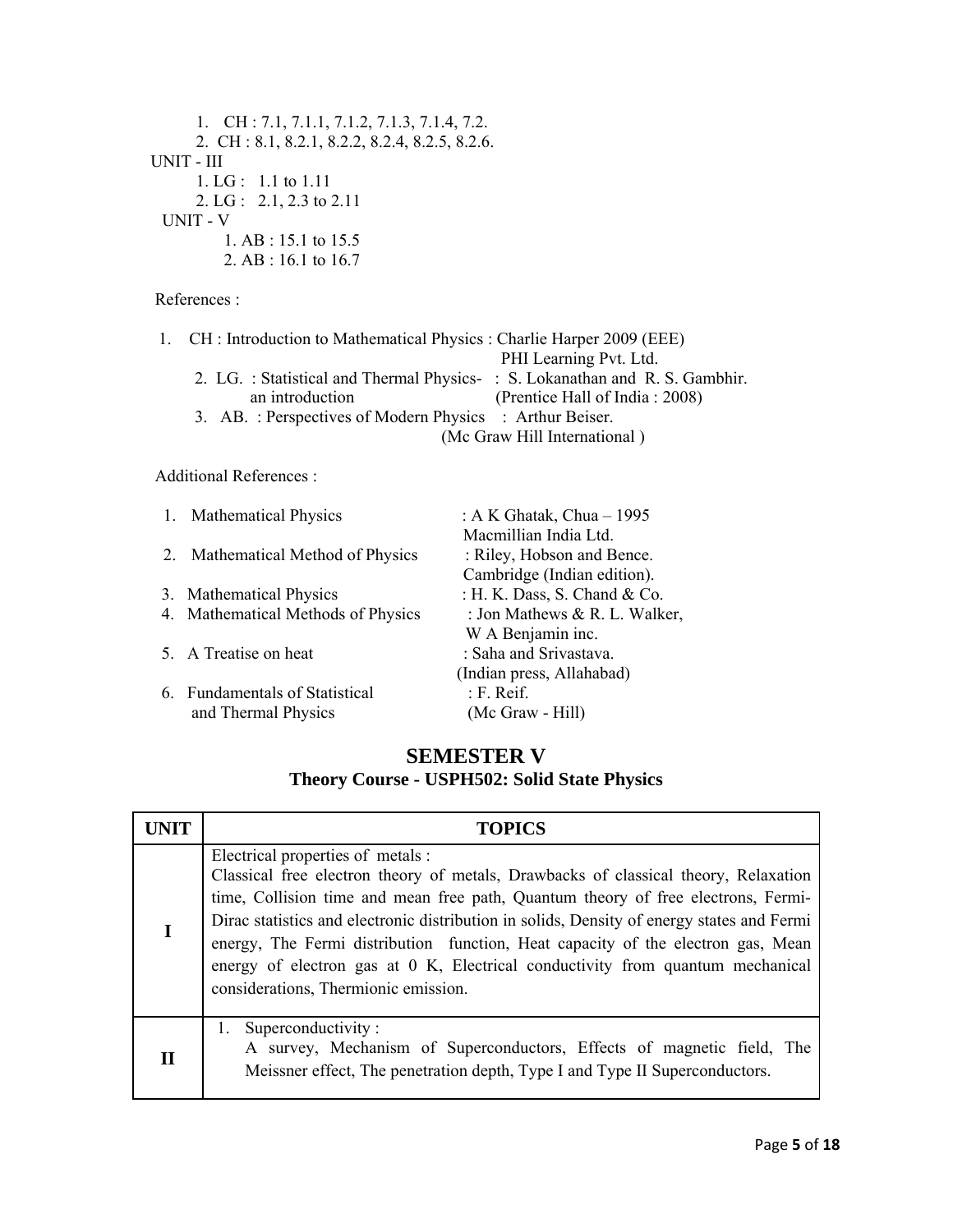| 1. CH: 7.1, 7.1.1, 7.1.2, 7.1.3, 7.1.4, 7.2.   |
|------------------------------------------------|
| 2. CH: 8.1, 8.2.1, 8.2.2, 8.2.4, 8.2.5, 8.2.6. |
|                                                |
|                                                |
|                                                |
|                                                |
|                                                |
|                                                |
|                                                |

| 1. CH: Introduction to Mathematical Physics: Charlie Harper 2009 (EEE)       |
|------------------------------------------------------------------------------|
| PHI Learning Pvt. Ltd.                                                       |
| 2. LG. : Statistical and Thermal Physics- : S. Lokanathan and R. S. Gambhir. |
| (Prentice Hall of India: 2008)<br>an introduction                            |
| 3. AB. : Perspectives of Modern Physics : Arthur Beiser.                     |
| (Mc Graw Hill International)                                                 |

# Additional References :

| 1. | <b>Mathematical Physics</b>        | : A K Ghatak, Chua $-1995$    |
|----|------------------------------------|-------------------------------|
|    |                                    | Macmillian India Ltd.         |
|    | 2. Mathematical Method of Physics  | : Riley, Hobson and Bence.    |
|    |                                    | Cambridge (Indian edition).   |
|    | 3. Mathematical Physics            | : H. K. Dass, S. Chand & Co.  |
|    | 4. Mathematical Methods of Physics | : Jon Mathews & R. L. Walker, |
|    |                                    | W A Benjamin inc.             |
|    | 5. A Treatise on heat              | : Saha and Srivastava.        |
|    |                                    | (Indian press, Allahabad)     |
|    | 6. Fundamentals of Statistical     | $: F.$ Reif.                  |
|    | and Thermal Physics                | (Mc Graw - Hill)              |

# **SEMESTER V Theory Course - USPH502: Solid State Physics**

| UNIT        | <b>TOPICS</b>                                                                                                                                                                                                                                                                                                                                                                                                                                                                                                                  |  |  |
|-------------|--------------------------------------------------------------------------------------------------------------------------------------------------------------------------------------------------------------------------------------------------------------------------------------------------------------------------------------------------------------------------------------------------------------------------------------------------------------------------------------------------------------------------------|--|--|
|             | Electrical properties of metals :<br>Classical free electron theory of metals, Drawbacks of classical theory, Relaxation<br>time, Collision time and mean free path, Quantum theory of free electrons, Fermi-<br>Dirac statistics and electronic distribution in solids, Density of energy states and Fermi<br>energy, The Fermi distribution function, Heat capacity of the electron gas, Mean<br>energy of electron gas at $0 \,$ K, Electrical conductivity from quantum mechanical<br>considerations, Thermionic emission. |  |  |
| $\mathbf H$ | Superconductivity:<br>A survey, Mechanism of Superconductors, Effects of magnetic field, The<br>Meissner effect, The penetration depth, Type I and Type II Superconductors.                                                                                                                                                                                                                                                                                                                                                    |  |  |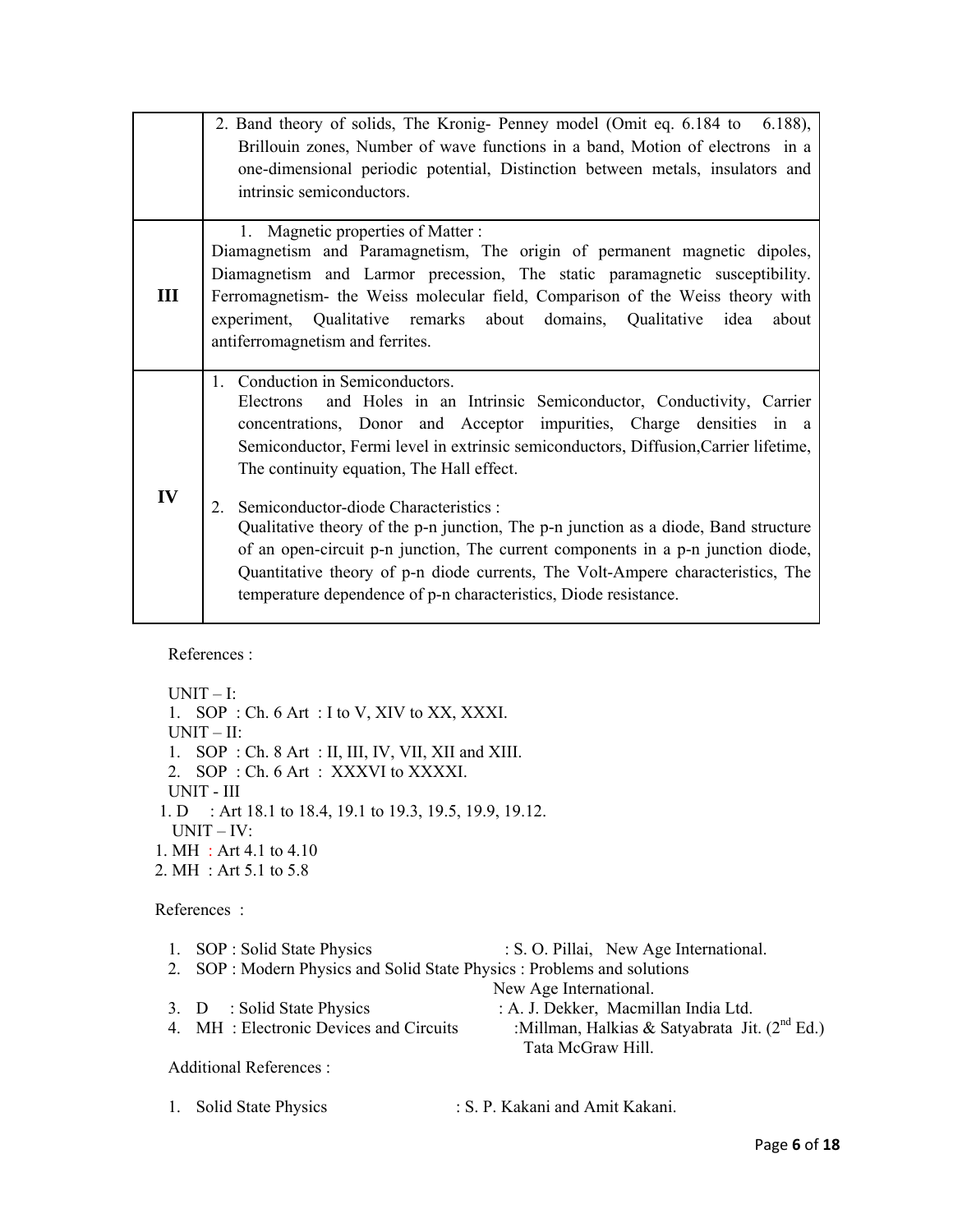| Brillouin zones, Number of wave functions in a band, Motion of electrons in a<br>one-dimensional periodic potential, Distinction between metals, insulators and |                                                                  |  |  |
|-----------------------------------------------------------------------------------------------------------------------------------------------------------------|------------------------------------------------------------------|--|--|
|                                                                                                                                                                 |                                                                  |  |  |
|                                                                                                                                                                 |                                                                  |  |  |
| intrinsic semiconductors.                                                                                                                                       |                                                                  |  |  |
|                                                                                                                                                                 |                                                                  |  |  |
|                                                                                                                                                                 | 1. Magnetic properties of Matter:                                |  |  |
| Diamagnetism and Paramagnetism, The origin of permanent magnetic dipoles,                                                                                       |                                                                  |  |  |
| Diamagnetism and Larmor precession, The static paramagnetic susceptibility.                                                                                     |                                                                  |  |  |
| Ferromagnetism- the Weiss molecular field, Comparison of the Weiss theory with<br>Ш                                                                             |                                                                  |  |  |
| experiment, Qualitative remarks about domains,<br>Qualitative                                                                                                   | idea<br>about                                                    |  |  |
| antiferromagnetism and ferrites.                                                                                                                                |                                                                  |  |  |
|                                                                                                                                                                 |                                                                  |  |  |
| 1. Conduction in Semiconductors.                                                                                                                                |                                                                  |  |  |
| and Holes in an Intrinsic Semiconductor, Conductivity, Carrier<br><b>Electrons</b>                                                                              |                                                                  |  |  |
| concentrations, Donor and Acceptor impurities, Charge densities in a                                                                                            |                                                                  |  |  |
| Semiconductor, Fermi level in extrinsic semiconductors, Diffusion, Carrier lifetime,                                                                            |                                                                  |  |  |
| The continuity equation, The Hall effect.                                                                                                                       |                                                                  |  |  |
| IV                                                                                                                                                              |                                                                  |  |  |
|                                                                                                                                                                 | Semiconductor-diode Characteristics :<br>$2_{-}$                 |  |  |
| Qualitative theory of the p-n junction, The p-n junction as a diode, Band structure                                                                             |                                                                  |  |  |
| of an open-circuit p-n junction, The current components in a p-n junction diode,                                                                                |                                                                  |  |  |
| Quantitative theory of p-n diode currents, The Volt-Ampere characteristics, The                                                                                 |                                                                  |  |  |
|                                                                                                                                                                 | temperature dependence of p-n characteristics, Diode resistance. |  |  |

 $UNIT - I:$ 1. SOP : Ch. 6 Art : I to V, XIV to XX, XXXI.  $UNIT - II$ : 1. SOP : Ch. 8 Art : II, III, IV, VII, XII and XIII. 2. SOP : Ch. 6 Art : XXXVI to XXXXI. UNIT - III 1. D : Art 18.1 to 18.4, 19.1 to 19.3, 19.5, 19.9, 19.12. UNIT – IV: 1. MH : Art 4.1 to 4.10 2. MH : Art 5.1 to 5.8 References : 1. SOP : Solid State Physics : S. O. Pillai, New Age International. 2. SOP : Modern Physics and Solid State Physics : Problems and solutions New Age International. 3. D : Solid State Physics : A. J. Dekker, Macmillan India Ltd.

4. MH : Electronic Devices and Circuits :Millman, Halkias & Satyabrata Jit.  $(2^{nd} Ed.)$ 

Tata McGraw Hill.

Additional References :

1. Solid State Physics : S. P. Kakani and Amit Kakani.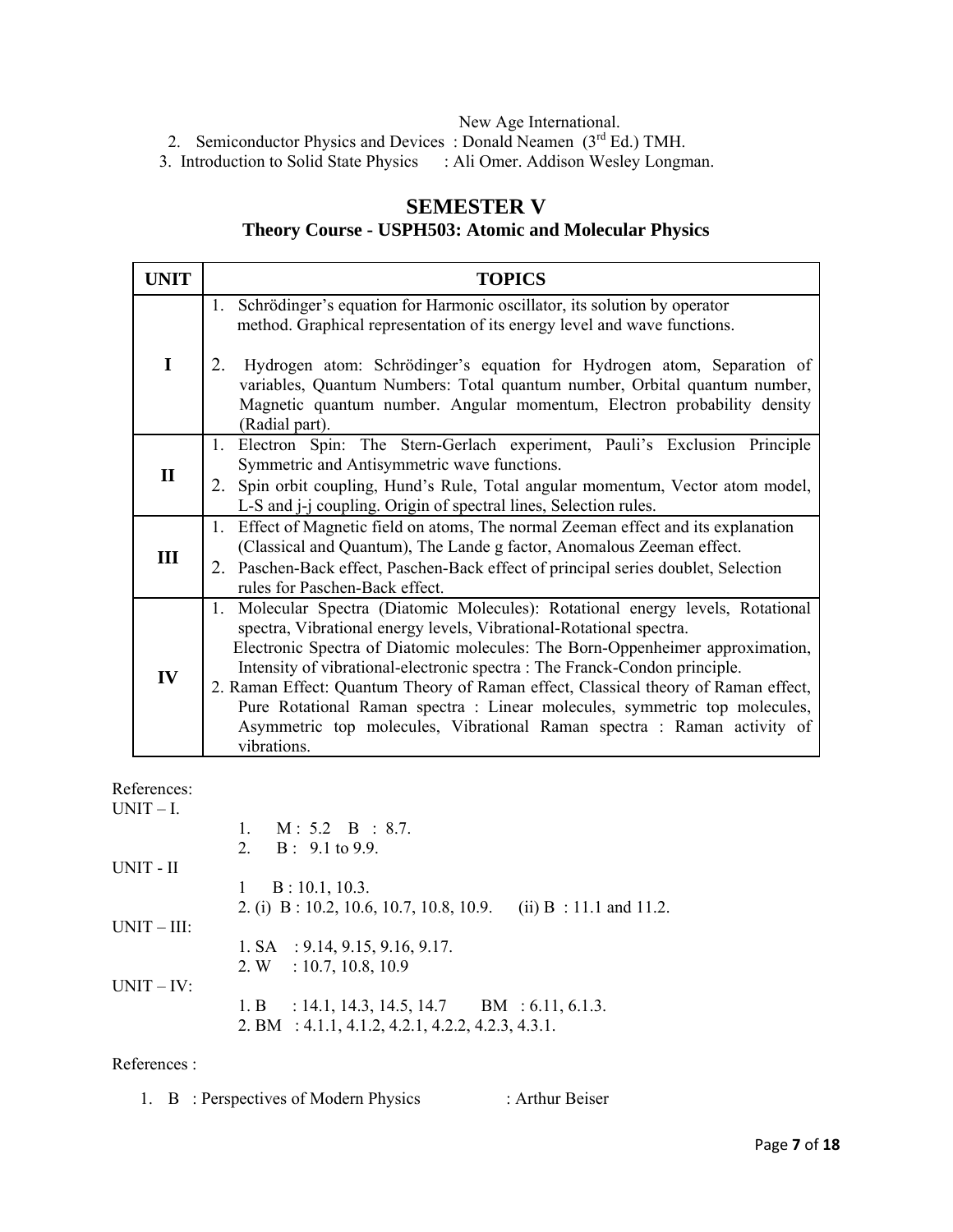New Age International.

2. Semiconductor Physics and Devices: Donald Neamen (3<sup>rd</sup> Ed.) TMH.

3. Introduction to Solid State Physics : Ali Omer. Addison Wesley Longman.

# **SEMESTER V**

## **Theory Course - USPH503: Atomic and Molecular Physics**

| <b>UNIT</b>  | <b>TOPICS</b>                                                                                                                                                                                                                                                                                                                                                                                                                                                                                                                                                                       |  |
|--------------|-------------------------------------------------------------------------------------------------------------------------------------------------------------------------------------------------------------------------------------------------------------------------------------------------------------------------------------------------------------------------------------------------------------------------------------------------------------------------------------------------------------------------------------------------------------------------------------|--|
|              | Schrödinger's equation for Harmonic oscillator, its solution by operator<br>1.<br>method. Graphical representation of its energy level and wave functions.                                                                                                                                                                                                                                                                                                                                                                                                                          |  |
| $\mathbf I$  | Hydrogen atom: Schrödinger's equation for Hydrogen atom, Separation of<br>2.<br>variables, Quantum Numbers: Total quantum number, Orbital quantum number,<br>Magnetic quantum number. Angular momentum, Electron probability density<br>(Radial part).                                                                                                                                                                                                                                                                                                                              |  |
|              | 1. Electron Spin: The Stern-Gerlach experiment, Pauli's Exclusion Principle<br>Symmetric and Antisymmetric wave functions.                                                                                                                                                                                                                                                                                                                                                                                                                                                          |  |
| $\mathbf{I}$ | Spin orbit coupling, Hund's Rule, Total angular momentum, Vector atom model,<br>2.<br>L-S and <i>j</i> - <i>j</i> coupling. Origin of spectral lines, Selection rules.                                                                                                                                                                                                                                                                                                                                                                                                              |  |
|              | 1. Effect of Magnetic field on atoms, The normal Zeeman effect and its explanation                                                                                                                                                                                                                                                                                                                                                                                                                                                                                                  |  |
| III          | (Classical and Quantum), The Lande g factor, Anomalous Zeeman effect.<br>2. Paschen-Back effect, Paschen-Back effect of principal series doublet, Selection<br>rules for Paschen-Back effect.                                                                                                                                                                                                                                                                                                                                                                                       |  |
| IV           | 1. Molecular Spectra (Diatomic Molecules): Rotational energy levels, Rotational<br>spectra, Vibrational energy levels, Vibrational-Rotational spectra.<br>Electronic Spectra of Diatomic molecules: The Born-Oppenheimer approximation,<br>Intensity of vibrational-electronic spectra : The Franck-Condon principle.<br>2. Raman Effect: Quantum Theory of Raman effect, Classical theory of Raman effect,<br>Pure Rotational Raman spectra : Linear molecules, symmetric top molecules,<br>Asymmetric top molecules, Vibrational Raman spectra : Raman activity of<br>vibrations. |  |

References:

 $UNIT - I$ .

| U1111L         |                                                                |
|----------------|----------------------------------------------------------------|
|                | $M: 5.2 \quad B: 8.7.$<br>1.                                   |
|                | 2. $B: 9.1$ to 9.9.                                            |
| UNIT - II      |                                                                |
|                | B: 10.1, 10.3.                                                 |
|                | 2. (i) B: 10.2, 10.6, 10.7, 10.8, 10.9. (ii) B: 11.1 and 11.2. |
| $UNIT - III$ : |                                                                |
|                | $1. S_A$ : 9.14, 9.15, 9.16, 9.17.                             |
|                | $2. W$ : 10.7, 10.8, 10.9                                      |
| $UNIT - IV:$   |                                                                |
|                | 1. B : 14.1, 14.3, 14.5, 14.7 BM : 6.11, 6.1.3.                |
|                | 2. BM : 4.1.1, 4.1.2, 4.2.1, 4.2.2, 4.2.3, 4.3.1.              |
|                |                                                                |

#### References :

1. B : Perspectives of Modern Physics : Arthur Beiser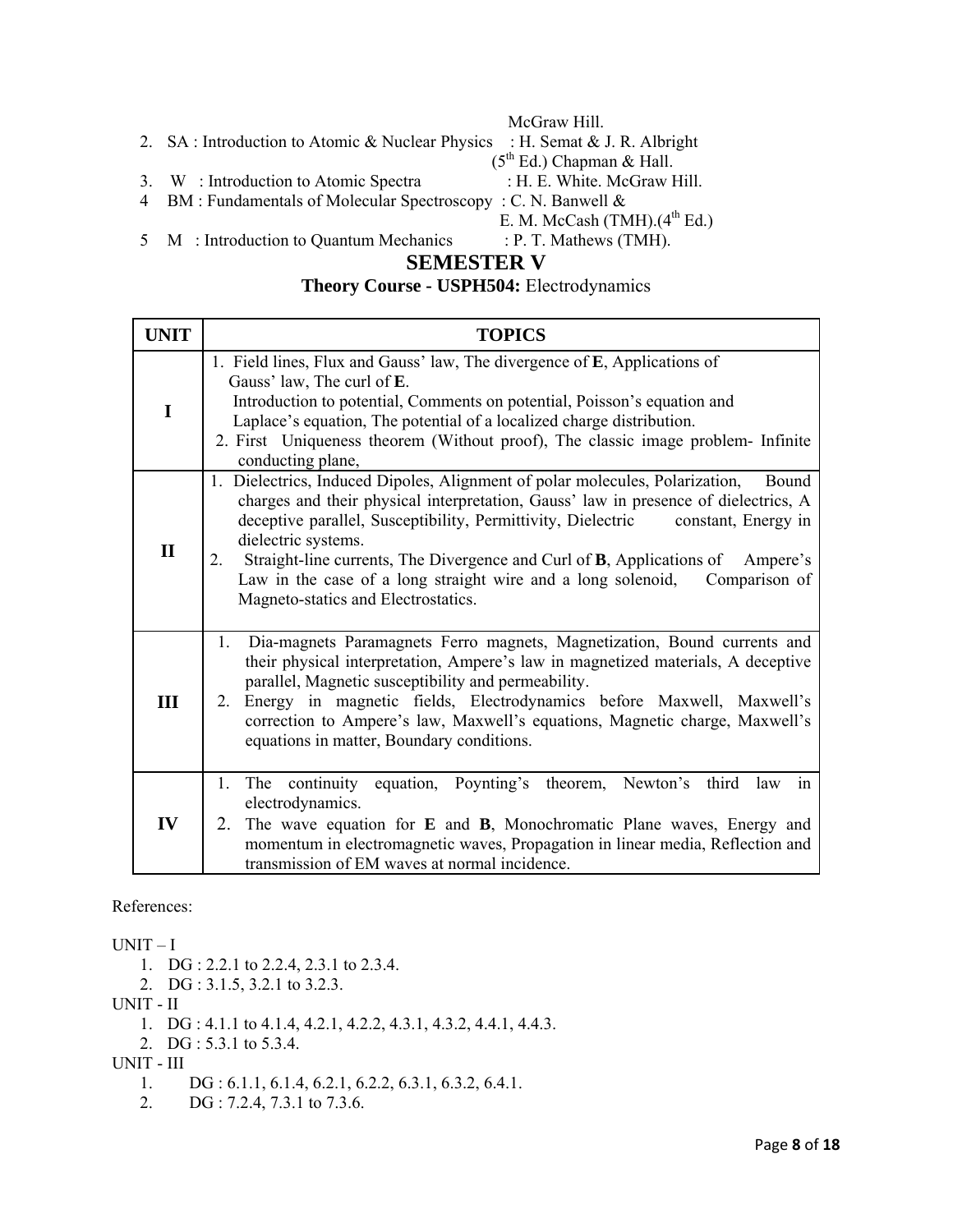|                                                  | McGraw Hill.                       |
|--------------------------------------------------|------------------------------------|
| 2. SA : Introduction to Atomic & Nuclear Physics | : H. Semat & J. R. Albright        |
|                                                  | $(5^{th}$ Ed.) Chapman & Hall.     |
| 3. W: Introduction to Atomic Spectra             | : H. E. White. McGraw Hill.        |
| 4 BM : Fundamentals of Molecular Spectroscopy    | : C. N. Banwell $\&$               |
|                                                  | E. M. McCash (TMH). $(4^{th}$ Ed.) |
| 5 M : Introduction to Quantum Mechanics          | : P. T. Mathews (TMH).             |

# **SEMESTER V**

# **Theory Course - USPH504:** Electrodynamics

| <b>UNIT</b> | <b>TOPICS</b>                                                                                                                                                                                                                                                                                                                                                                                                                                                                                                         |
|-------------|-----------------------------------------------------------------------------------------------------------------------------------------------------------------------------------------------------------------------------------------------------------------------------------------------------------------------------------------------------------------------------------------------------------------------------------------------------------------------------------------------------------------------|
| I           | 1. Field lines, Flux and Gauss' law, The divergence of E, Applications of<br>Gauss' law, The curl of <b>E</b> .<br>Introduction to potential, Comments on potential, Poisson's equation and<br>Laplace's equation, The potential of a localized charge distribution.<br>2. First Uniqueness theorem (Without proof), The classic image problem- Infinite<br>conducting plane,                                                                                                                                         |
| $\mathbf H$ | 1. Dielectrics, Induced Dipoles, Alignment of polar molecules, Polarization,<br>Bound<br>charges and their physical interpretation, Gauss' law in presence of dielectrics, A<br>deceptive parallel, Susceptibility, Permittivity, Dielectric<br>constant, Energy in<br>dielectric systems.<br>Straight-line currents, The Divergence and Curl of <b>B</b> , Applications of<br>Ampere's<br>2.<br>Law in the case of a long straight wire and a long solenoid,<br>Comparison of<br>Magneto-statics and Electrostatics. |
| III         | Dia-magnets Paramagnets Ferro magnets, Magnetization, Bound currents and<br>1.<br>their physical interpretation, Ampere's law in magnetized materials, A deceptive<br>parallel, Magnetic susceptibility and permeability.<br>Energy in magnetic fields, Electrodynamics before Maxwell, Maxwell's<br>2.<br>correction to Ampere's law, Maxwell's equations, Magnetic charge, Maxwell's<br>equations in matter, Boundary conditions.                                                                                   |
| IV          | equation, Poynting's theorem, Newton's<br>third<br>1. The continuity<br>law<br>1n<br>electrodynamics.<br>The wave equation for <b>E</b> and <b>B</b> , Monochromatic Plane waves, Energy and<br>2.<br>momentum in electromagnetic waves, Propagation in linear media, Reflection and<br>transmission of EM waves at normal incidence.                                                                                                                                                                                 |

References:

UNIT – I

1. DG : 2.2.1 to 2.2.4, 2.3.1 to 2.3.4.

2. DG : 3.1.5, 3.2.1 to 3.2.3.

UNIT - II

1. DG : 4.1.1 to 4.1.4, 4.2.1, 4.2.2, 4.3.1, 4.3.2, 4.4.1, 4.4.3.

2. DG : 5.3.1 to 5.3.4.

UNIT - III

- 1. DG : 6.1.1, 6.1.4, 6.2.1, 6.2.2, 6.3.1, 6.3.2, 6.4.1.
- 2. DG : 7.2.4, 7.3.1 to 7.3.6.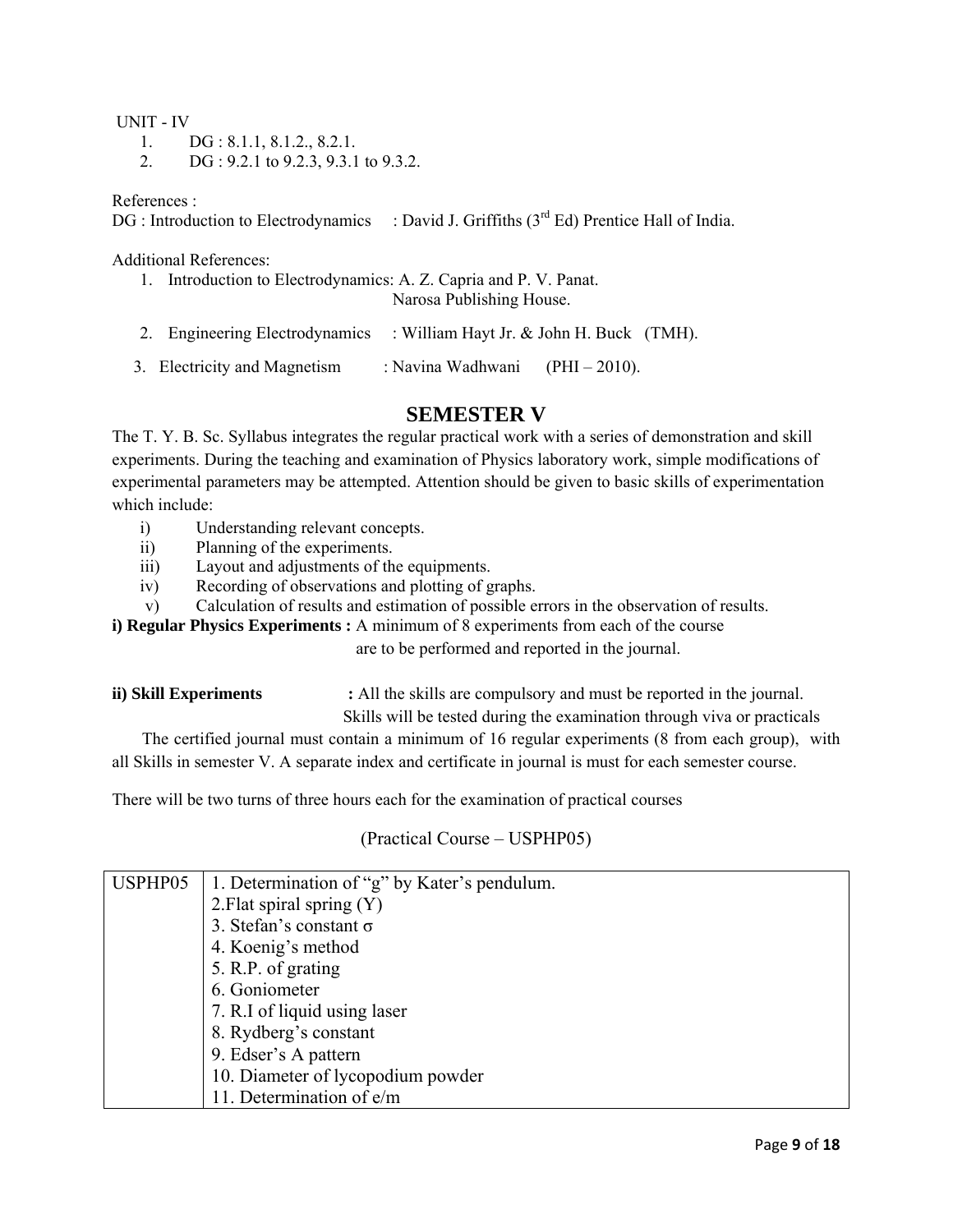#### UNIT - IV

- 1. DG : 8.1.1, 8.1.2., 8.2.1.
- 2. DG : 9.2.1 to 9.2.3, 9.3.1 to 9.3.2.

References :

 $DG: Introduction to Electrodynamics : David J. Griffiths (3<sup>rd</sup> Ed) Prentice Hall of India.$ 

Additional References:

|                              | Introduction to Electrodynamics: A. Z. Capria and P. V. Panat.          |
|------------------------------|-------------------------------------------------------------------------|
|                              | Narosa Publishing House.                                                |
|                              | 2. Engineering Electrodynamics : William Hayt Jr. & John H. Buck (TMH). |
| 3. Electricity and Magnetism | : Navina Wadhwani<br>(PHI – 2010).                                      |

## **SEMESTER V**

The T. Y. B. Sc. Syllabus integrates the regular practical work with a series of demonstration and skill experiments. During the teaching and examination of Physics laboratory work, simple modifications of experimental parameters may be attempted. Attention should be given to basic skills of experimentation which include:

- i) Understanding relevant concepts.
- ii) Planning of the experiments.
- iii) Layout and adjustments of the equipments.
- iv) Recording of observations and plotting of graphs.
- v) Calculation of results and estimation of possible errors in the observation of results.

**i) Regular Physics Experiments :** A minimum of 8 experiments from each of the course

are to be performed and reported in the journal.

**ii) Skill Experiments** : All the skills are compulsory and must be reported in the journal.

Skills will be tested during the examination through viva or practicals

 The certified journal must contain a minimum of 16 regular experiments (8 from each group), with all Skills in semester V. A separate index and certificate in journal is must for each semester course.

There will be two turns of three hours each for the examination of practical courses

(Practical Course – USPHP05)

| USPHP05 | 1. Determination of "g" by Kater's pendulum. |
|---------|----------------------------------------------|
|         | 2. Flat spiral spring $(Y)$                  |
|         | 3. Stefan's constant $\sigma$                |
|         | 4. Koenig's method                           |
|         | 5. R.P. of grating                           |
|         | 6. Goniometer                                |
|         | 7. R.I of liquid using laser                 |
|         | 8. Rydberg's constant                        |
|         | 9. Edser's A pattern                         |
|         | 10. Diameter of lycopodium powder            |
|         | 11. Determination of e/m                     |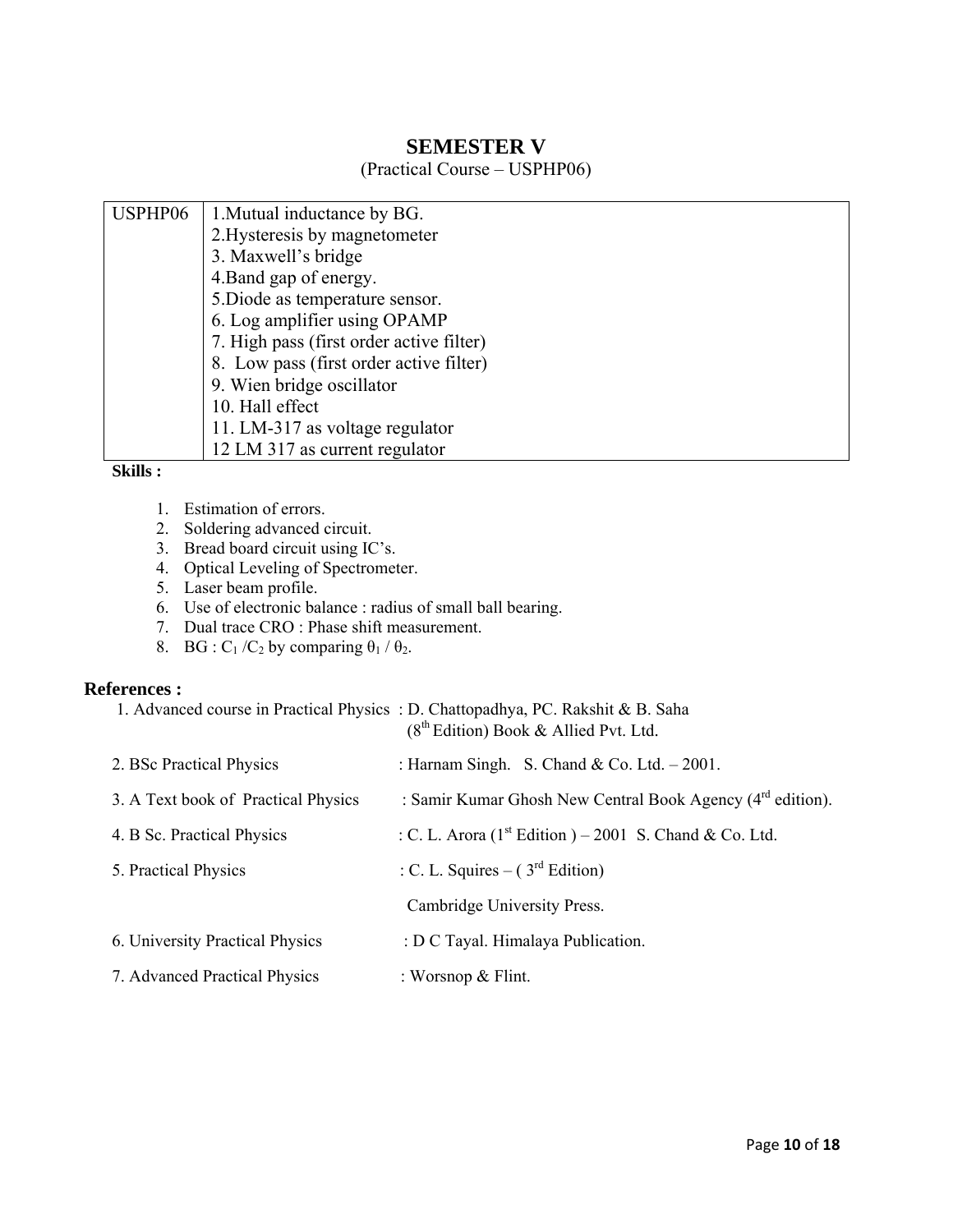## **SEMESTER V**

## (Practical Course – USPHP06)

| USPHP06 | 1. Mutual inductance by BG.              |
|---------|------------------------------------------|
|         | 2. Hysteresis by magnetometer            |
|         | 3. Maxwell's bridge                      |
|         | 4. Band gap of energy.                   |
|         | 5. Diode as temperature sensor.          |
|         | 6. Log amplifier using OPAMP             |
|         | 7. High pass (first order active filter) |
|         | 8. Low pass (first order active filter)  |
|         | 9. Wien bridge oscillator                |
|         | 10. Hall effect                          |
|         | 11. LM-317 as voltage regulator          |
|         | 12 LM 317 as current regulator           |

#### **Skills :**

- 1. Estimation of errors.
- 2. Soldering advanced circuit.
- 3. Bread board circuit using IC's.
- 4. Optical Leveling of Spectrometer.
- 5. Laser beam profile.
- 6. Use of electronic balance : radius of small ball bearing.
- 7. Dual trace CRO : Phase shift measurement.
- 8. BG :  $C_1 / C_2$  by comparing  $\theta_1 / \theta_2$ .

## **References :**

|                                     | 1. Advanced course in Practical Physics : D. Chattopadhya, PC. Rakshit & B. Saha<br>$(8th Edition) Book & Allied Pvt. Ltd.$ |
|-------------------------------------|-----------------------------------------------------------------------------------------------------------------------------|
| 2. BSc Practical Physics            | : Harnam Singh. S. Chand & Co. Ltd. $-2001$ .                                                                               |
| 3. A Text book of Practical Physics | : Samir Kumar Ghosh New Central Book Agency (4 <sup>rd</sup> edition).                                                      |
| 4. B Sc. Practical Physics          | : C. L. Arora ( $1st$ Edition ) – 2001 S. Chand & Co. Ltd.                                                                  |
| 5. Practical Physics                | : C. L. Squires – $(3rd Edition)$                                                                                           |
|                                     | Cambridge University Press.                                                                                                 |
| 6. University Practical Physics     | : D C Tayal. Himalaya Publication.                                                                                          |
| 7. Advanced Practical Physics       | : Worsnop $&$ Flint.                                                                                                        |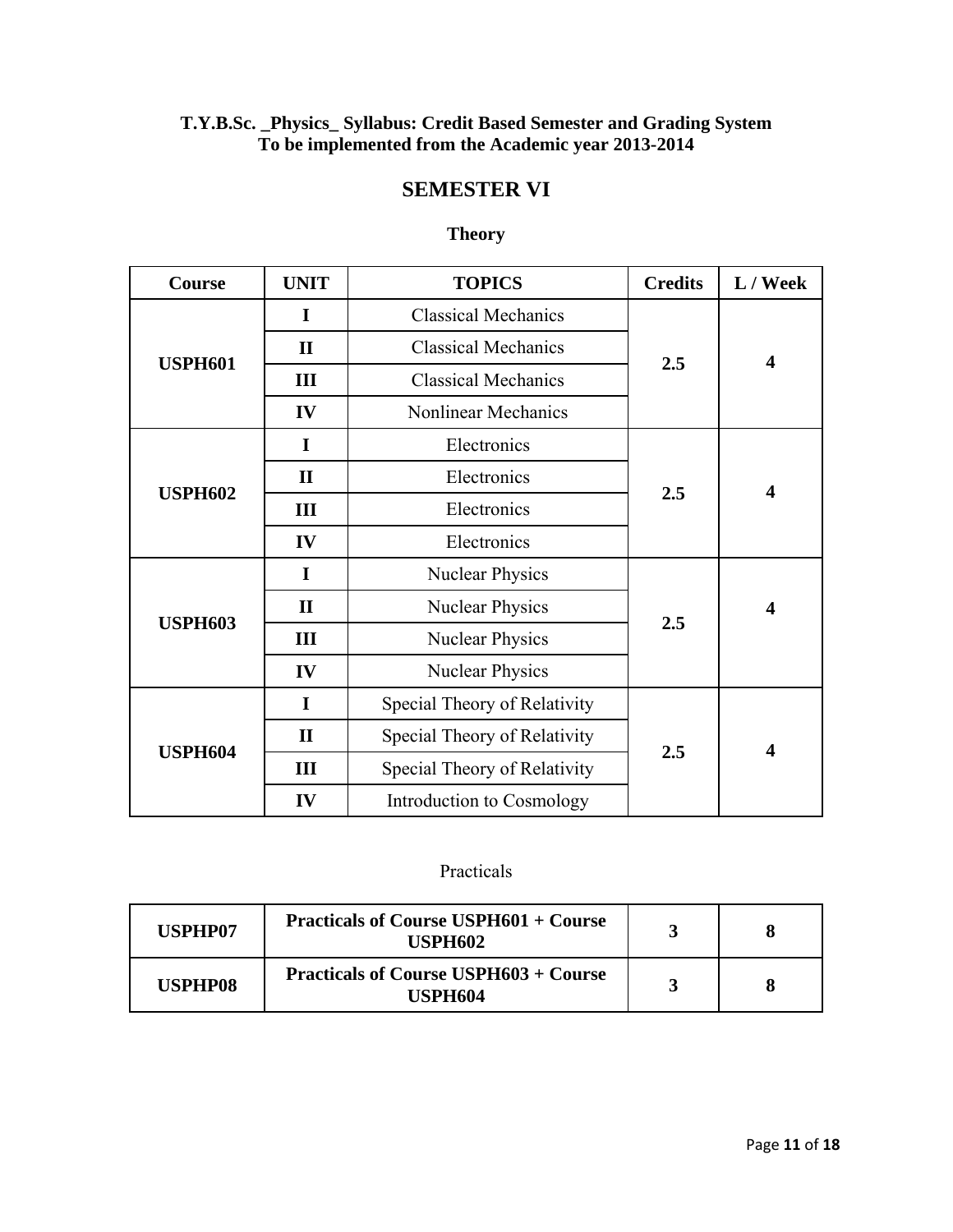### **T.Y.B.Sc. \_Physics\_ Syllabus: Credit Based Semester and Grading System To be implemented from the Academic year 2013-2014**

# **SEMESTER VI**

# **Theory**

| Course         | <b>UNIT</b>  | <b>TOPICS</b>                | <b>Credits</b> | L / Week                |
|----------------|--------------|------------------------------|----------------|-------------------------|
|                | I            | <b>Classical Mechanics</b>   |                |                         |
|                | $\mathbf{I}$ | <b>Classical Mechanics</b>   | 2.5            | $\overline{\mathbf{4}}$ |
| <b>USPH601</b> | III          | <b>Classical Mechanics</b>   |                |                         |
|                | IV           | <b>Nonlinear Mechanics</b>   |                |                         |
|                | $\bf{I}$     | Electronics                  |                |                         |
|                | $\mathbf{I}$ | Electronics                  |                | $\overline{\mathbf{4}}$ |
| <b>USPH602</b> | III          | Electronics                  | 2.5            |                         |
|                | IV           | Electronics                  |                |                         |
|                | I            | <b>Nuclear Physics</b>       |                |                         |
|                | $\mathbf{I}$ | <b>Nuclear Physics</b>       | 2.5            | 4                       |
| <b>USPH603</b> | III          | <b>Nuclear Physics</b>       |                |                         |
|                | IV           | <b>Nuclear Physics</b>       |                |                         |
|                | $\bf{I}$     | Special Theory of Relativity |                |                         |
|                | $\mathbf{I}$ | Special Theory of Relativity |                | $\overline{\mathbf{4}}$ |
| <b>USPH604</b> | III          | Special Theory of Relativity | 2.5            |                         |
|                | IV           | Introduction to Cosmology    |                |                         |

# Practicals

| USPHP07 | <b>Practicals of Course USPH601 + Course</b><br>USPH602 |  |
|---------|---------------------------------------------------------|--|
| USPHP08 | <b>Practicals of Course USPH603 + Course</b><br>USPH604 |  |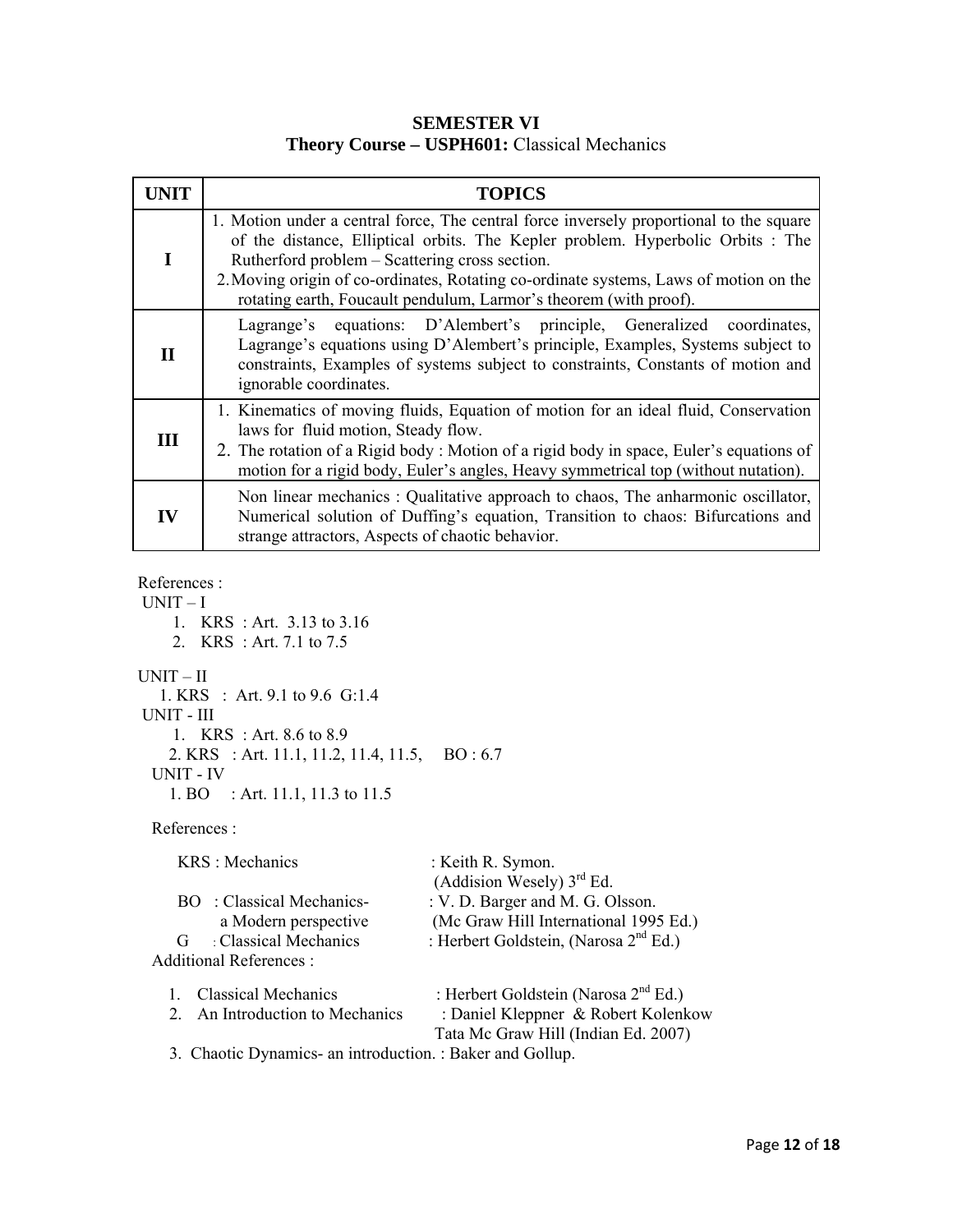| <b>SEMESTER VI</b>                                  |
|-----------------------------------------------------|
| <b>Theory Course – USPH601:</b> Classical Mechanics |

| UNIT | <b>TOPICS</b>                                                                                                                                                                                                                                                                                                                                                                             |
|------|-------------------------------------------------------------------------------------------------------------------------------------------------------------------------------------------------------------------------------------------------------------------------------------------------------------------------------------------------------------------------------------------|
|      | 1. Motion under a central force, The central force inversely proportional to the square<br>of the distance, Elliptical orbits. The Kepler problem. Hyperbolic Orbits: The<br>Rutherford problem – Scattering cross section.<br>2. Moving origin of co-ordinates, Rotating co-ordinate systems, Laws of motion on the<br>rotating earth, Foucault pendulum, Larmor's theorem (with proof). |
| П    | Lagrange's equations: D'Alembert's principle, Generalized coordinates,<br>Lagrange's equations using D'Alembert's principle, Examples, Systems subject to<br>constraints, Examples of systems subject to constraints, Constants of motion and<br>ignorable coordinates.                                                                                                                   |
| Ш    | 1. Kinematics of moving fluids, Equation of motion for an ideal fluid, Conservation<br>laws for fluid motion, Steady flow.<br>2. The rotation of a Rigid body: Motion of a rigid body in space, Euler's equations of<br>motion for a rigid body, Euler's angles, Heavy symmetrical top (without nutation).                                                                                |
| IV   | Non linear mechanics : Qualitative approach to chaos, The anharmonic oscillator,<br>Numerical solution of Duffing's equation, Transition to chaos: Bifurcations and<br>strange attractors, Aspects of chaotic behavior.                                                                                                                                                                   |

```
UNIT - I1. KRS : Art. 3.13 to 3.16 
   2. KRS : Art. 7.1 to 7.5 
UNIT – II 
   1. KRS : Art. 9.1 to 9.6 G:1.4 
UNIT - III 
   1. KRS : Art. 8.6 to 8.9 
    2. KRS : Art. 11.1, 11.2, 11.4, 11.5, BO : 6.7 
UNIT - IV 
    1. BO : Art. 11.1, 11.3 to 11.5 
References : 
    KRS : Mechanics : Keith R. Symon.
                                       (Addision Wesely) 3<sup>rd</sup> Ed.
    BO : Classical Mechanics- : V. D. Barger and M. G. Olsson.
           a Modern perspective (Mc Graw Hill International 1995 Ed.) 
    G : Classical Mechanics : Herbert Goldstein, (Narosa 2<sup>nd</sup> Ed.)
 Additional References : 
   1. Classical Mechanics : Herbert Goldstein (Narosa 2<sup>nd</sup> Ed.)
   2. An Introduction to Mechanics : Daniel Kleppner & Robert Kolenkow
```
 Tata Mc Graw Hill (Indian Ed. 2007) 3. Chaotic Dynamics- an introduction. : Baker and Gollup.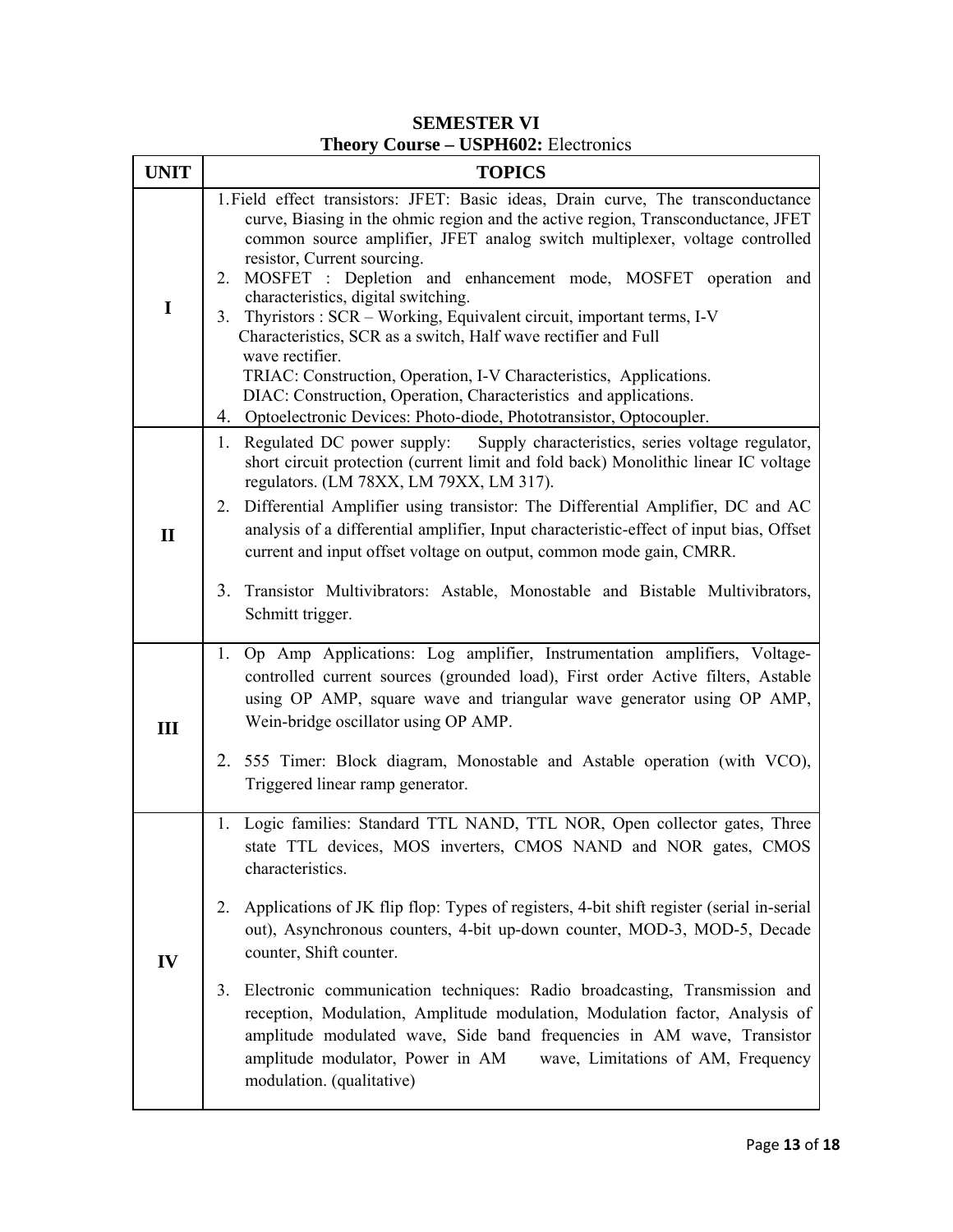| <b>UNIT</b>  | $\ddotsc$<br>$\frac{1}{2}$ and $\frac{1}{2}$ and $\frac{1}{2}$ and $\frac{1}{2}$ and $\frac{1}{2}$<br><b>TOPICS</b>                                                                                                                                                                                                                                                                                                                                                                                                                                                                                                                                                                                                                                                                 |  |  |
|--------------|-------------------------------------------------------------------------------------------------------------------------------------------------------------------------------------------------------------------------------------------------------------------------------------------------------------------------------------------------------------------------------------------------------------------------------------------------------------------------------------------------------------------------------------------------------------------------------------------------------------------------------------------------------------------------------------------------------------------------------------------------------------------------------------|--|--|
| I            | 1. Field effect transistors: JFET: Basic ideas, Drain curve, The transconductance<br>curve, Biasing in the ohmic region and the active region, Transconductance, JFET<br>common source amplifier, JFET analog switch multiplexer, voltage controlled<br>resistor, Current sourcing.<br>MOSFET : Depletion and enhancement mode, MOSFET operation and<br>2.<br>characteristics, digital switching.<br>3. Thyristors: SCR – Working, Equivalent circuit, important terms, I-V<br>Characteristics, SCR as a switch, Half wave rectifier and Full<br>wave rectifier.<br>TRIAC: Construction, Operation, I-V Characteristics, Applications.<br>DIAC: Construction, Operation, Characteristics and applications.<br>4. Optoelectronic Devices: Photo-diode, Phototransistor, Optocoupler. |  |  |
| $\mathbf{I}$ | Regulated DC power supply:<br>Supply characteristics, series voltage regulator,<br>1.<br>short circuit protection (current limit and fold back) Monolithic linear IC voltage<br>regulators. (LM 78XX, LM 79XX, LM 317).<br>Differential Amplifier using transistor: The Differential Amplifier, DC and AC<br>2.<br>analysis of a differential amplifier, Input characteristic-effect of input bias, Offset<br>current and input offset voltage on output, common mode gain, CMRR.<br>3.<br>Transistor Multivibrators: Astable, Monostable and Bistable Multivibrators,<br>Schmitt trigger.                                                                                                                                                                                          |  |  |
| Ш            | 1. Op Amp Applications: Log amplifier, Instrumentation amplifiers, Voltage-<br>controlled current sources (grounded load), First order Active filters, Astable<br>using OP AMP, square wave and triangular wave generator using OP AMP,<br>Wein-bridge oscillator using OP AMP.<br>2. 555 Timer: Block diagram, Monostable and Astable operation (with VCO),<br>Triggered linear ramp generator.                                                                                                                                                                                                                                                                                                                                                                                    |  |  |
| IV           | 1. Logic families: Standard TTL NAND, TTL NOR, Open collector gates, Three<br>state TTL devices, MOS inverters, CMOS NAND and NOR gates, CMOS<br>characteristics.<br>Applications of JK flip flop: Types of registers, 4-bit shift register (serial in-serial<br>2.<br>out), Asynchronous counters, 4-bit up-down counter, MOD-3, MOD-5, Decade<br>counter, Shift counter.<br>Electronic communication techniques: Radio broadcasting, Transmission and<br>3.<br>reception, Modulation, Amplitude modulation, Modulation factor, Analysis of<br>amplitude modulated wave, Side band frequencies in AM wave, Transistor<br>amplitude modulator, Power in AM<br>wave, Limitations of AM, Frequency<br>modulation. (qualitative)                                                       |  |  |

# **SEMESTER VI Theory Course – USPH602:** Electronics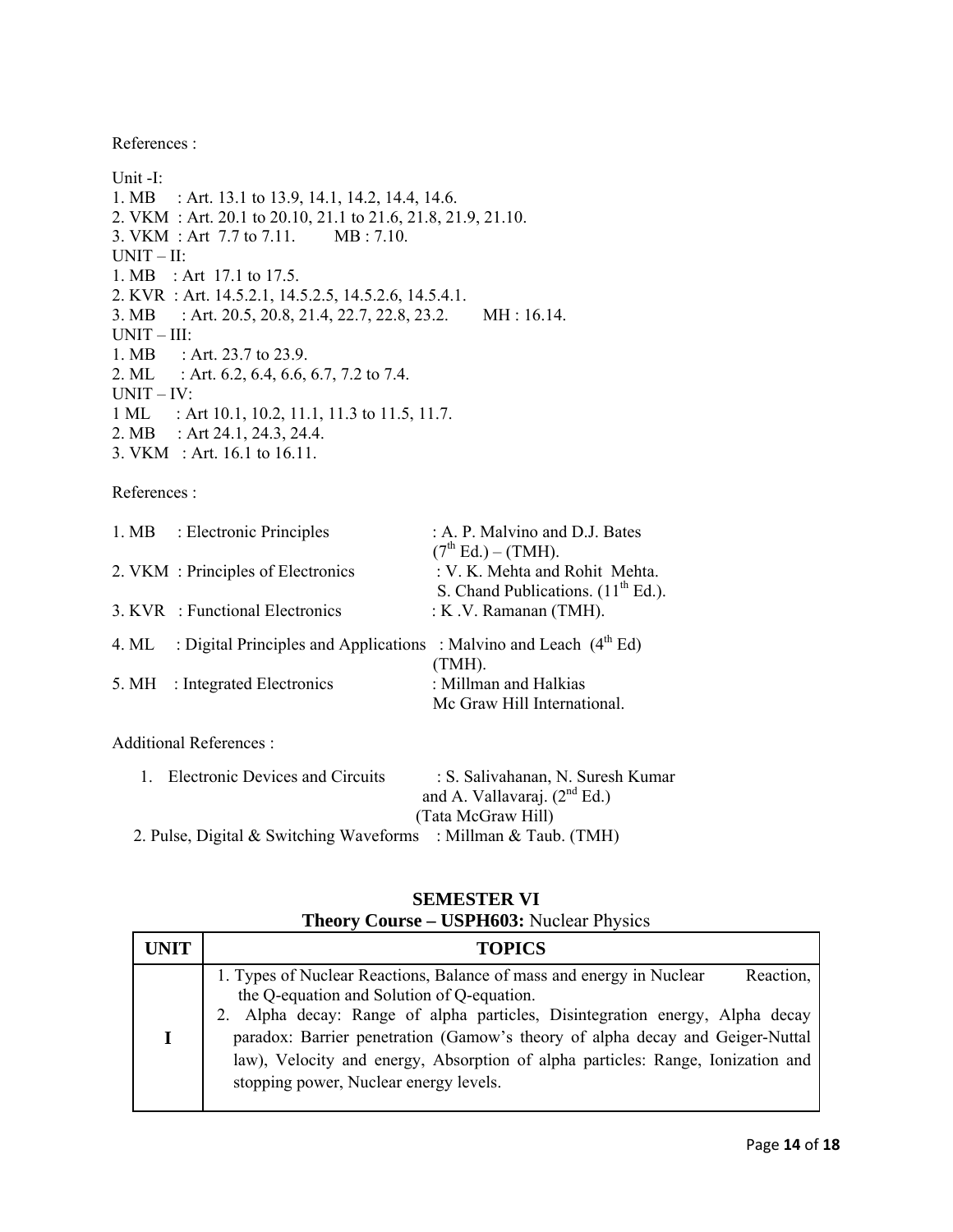Unit -I: 1. MB : Art. 13.1 to 13.9, 14.1, 14.2, 14.4, 14.6. 2. VKM : Art. 20.1 to 20.10, 21.1 to 21.6, 21.8, 21.9, 21.10. 3. VKM : Art 7.7 to 7.11. MB : 7.10.  $UNIT - II$ : 1. MB : Art 17.1 to 17.5. 2. KVR : Art. 14.5.2.1, 14.5.2.5, 14.5.2.6, 14.5.4.1. 3. MB : Art. 20.5, 20.8, 21.4, 22.7, 22.8, 23.2. MH : 16.14. UNIT – III: 1. MB : Art. 23.7 to 23.9. 2. ML : Art. 6.2, 6.4, 6.6, 6.7, 7.2 to 7.4. UNIT – IV: 1 ML : Art 10.1, 10.2, 11.1, 11.3 to 11.5, 11.7. 2. MB : Art 24.1, 24.3, 24.4. 3. VKM : Art. 16.1 to 16.11.

References :

|       | 1. MB : Electronic Principles                                        | : A. P. Malvino and D.J. Bates        |
|-------|----------------------------------------------------------------------|---------------------------------------|
|       |                                                                      | (7 <sup>th</sup> Ed.) – (TMH).        |
|       | 2. VKM: Principles of Electronics                                    | : V. K. Mehta and Rohit Mehta.        |
|       |                                                                      | S. Chand Publications. $(11th Ed.)$ . |
|       | 3. KVR : Functional Electronics                                      | : K.V. Ramanan (TMH).                 |
| 4. ML | : Digital Principles and Applications : Malvino and Leach $(4th Ed)$ |                                       |
|       |                                                                      | $(TMH)$ .                             |
|       | 5. MH : Integrated Electronics                                       | : Millman and Halkias                 |
|       |                                                                      | Mc Graw Hill International.           |
|       |                                                                      |                                       |

Additional References :

| 1. Electronic Devices and Circuits                              | : S. Salivahanan, N. Suresh Kumar |
|-----------------------------------------------------------------|-----------------------------------|
|                                                                 | and A. Vallavaraj. $(2nd Ed.)$    |
|                                                                 | (Tata McGraw Hill)                |
| 2. Pulse, Digital & Switching Waveforms : Millman & Taub. (TMH) |                                   |

## **SEMESTER VI Theory Course – USPH603:** Nuclear Physics

| UNIT | <b>TOPICS</b>                                                                                                                                                                                                                                                                              |
|------|--------------------------------------------------------------------------------------------------------------------------------------------------------------------------------------------------------------------------------------------------------------------------------------------|
|      | 1. Types of Nuclear Reactions, Balance of mass and energy in Nuclear<br>Reaction,<br>the Q-equation and Solution of Q-equation.                                                                                                                                                            |
|      | 2. Alpha decay: Range of alpha particles, Disintegration energy, Alpha decay<br>paradox: Barrier penetration (Gamow's theory of alpha decay and Geiger-Nuttal<br>law), Velocity and energy, Absorption of alpha particles: Range, Ionization and<br>stopping power, Nuclear energy levels. |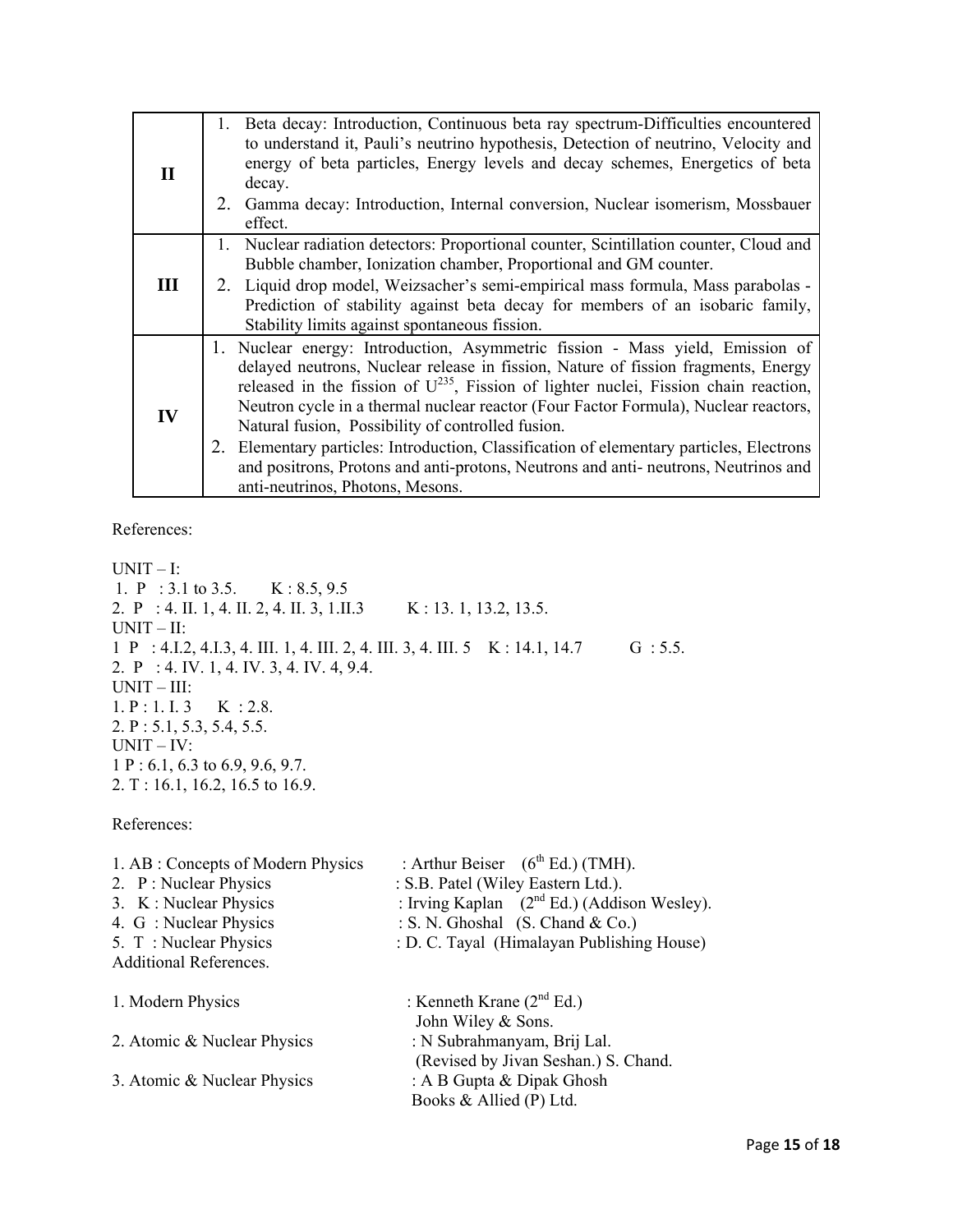| $\mathbf H$ | 1.<br>2. | Beta decay: Introduction, Continuous beta ray spectrum-Difficulties encountered<br>to understand it, Pauli's neutrino hypothesis, Detection of neutrino, Velocity and<br>energy of beta particles, Energy levels and decay schemes, Energetics of beta<br>decay.<br>Gamma decay: Introduction, Internal conversion, Nuclear isomerism, Mossbauer<br>effect. |
|-------------|----------|-------------------------------------------------------------------------------------------------------------------------------------------------------------------------------------------------------------------------------------------------------------------------------------------------------------------------------------------------------------|
|             |          | Nuclear radiation detectors: Proportional counter, Scintillation counter, Cloud and<br>Bubble chamber, Ionization chamber, Proportional and GM counter.                                                                                                                                                                                                     |
| Ш           | 2.       | Liquid drop model, Weizsacher's semi-empirical mass formula, Mass parabolas -<br>Prediction of stability against beta decay for members of an isobaric family,<br>Stability limits against spontaneous fission.                                                                                                                                             |
|             |          | 1. Nuclear energy: Introduction, Asymmetric fission - Mass yield, Emission of                                                                                                                                                                                                                                                                               |
|             |          | delayed neutrons, Nuclear release in fission, Nature of fission fragments, Energy<br>released in the fission of $U^{235}$ , Fission of lighter nuclei, Fission chain reaction,                                                                                                                                                                              |
| $\bf{IV}$   |          | Neutron cycle in a thermal nuclear reactor (Four Factor Formula), Nuclear reactors,<br>Natural fusion, Possibility of controlled fusion.                                                                                                                                                                                                                    |
|             |          | 2. Elementary particles: Introduction, Classification of elementary particles, Electrons<br>and positrons, Protons and anti-protons, Neutrons and anti- neutrons, Neutrinos and                                                                                                                                                                             |
|             |          | anti-neutrinos, Photons, Mesons.                                                                                                                                                                                                                                                                                                                            |

UNIT – I: 1. P : 3.1 to 3.5. K : 8.5, 9.5 2. P : 4. II. 1, 4. II. 2, 4. II. 3, 1.II.3 K : 13. 1, 13.2, 13.5. UNIT – II: 1 P : 4.I.2, 4.I.3, 4. III. 1, 4. III. 2, 4. III. 3, 4. III. 5 K : 14.1, 14.7 G : 5.5. 2. P : 4. IV. 1, 4. IV. 3, 4. IV. 4, 9.4. UNIT – III: 1.  $P : 1. I. 3 K : 2.8.$ 2. P : 5.1, 5.3, 5.4, 5.5. UNIT – IV: 1 P : 6.1, 6.3 to 6.9, 9.6, 9.7. 2. T : 16.1, 16.2, 16.5 to 16.9. References: 1. AB : Concepts of Modern Physics : Arthur Beiser  $(6^{th} Ed.)$  (TMH).

| 2. P: Nuclear Physics         | : S.B. Patel (Wiley Eastern Ltd.).            |
|-------------------------------|-----------------------------------------------|
| 3. K: Nuclear Physics         | : Irving Kaplan $(2nd Ed.)$ (Addison Wesley). |
| 4. G: Nuclear Physics         | : S. N. Ghoshal (S. Chand $& Co.$ )           |
| 5. T: Nuclear Physics         | : D. C. Tayal (Himalayan Publishing House)    |
| <b>Additional References.</b> |                                               |
|                               |                                               |
| 1. Modern Physics             | : Kenneth Krane $(2^{nd} Ed.)$                |
|                               | John Wiley & Sons.                            |
| 2. Atomic & Nuclear Physics   | : N Subrahmanyam, Brij Lal.                   |
|                               | (Revised by Jivan Seshan.) S. Chand.          |
| 3. Atomic & Nuclear Physics   | : A B Gupta & Dipak Ghosh                     |
|                               | Books & Allied (P) Ltd.                       |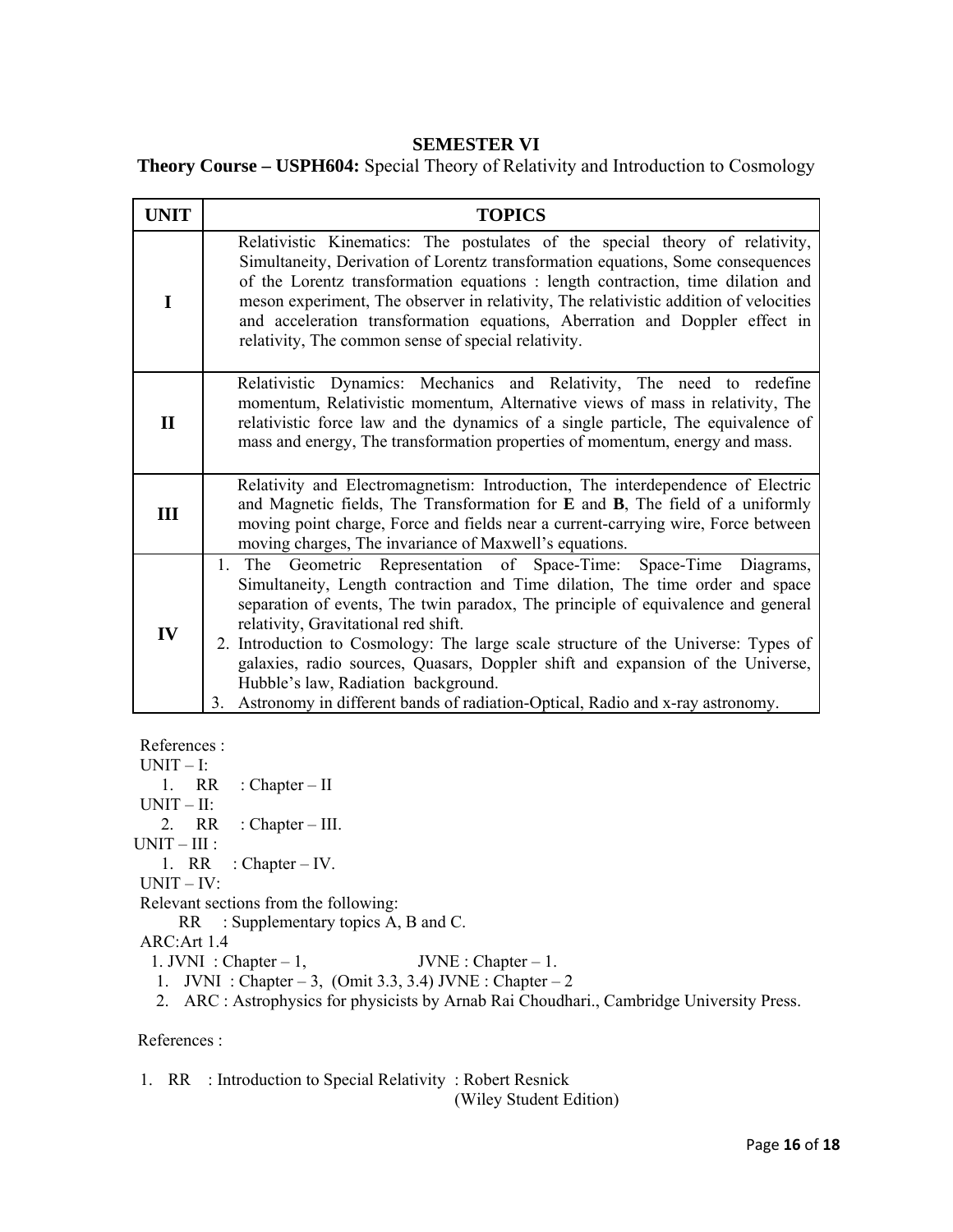#### **SEMESTER VI**

**Theory Course – USPH604:** Special Theory of Relativity and Introduction to Cosmology

| <b>UNIT</b>  | <b>TOPICS</b>                                                                                                                                                                                                                                                                                                                                                                                                                                                                                                                                                                     |
|--------------|-----------------------------------------------------------------------------------------------------------------------------------------------------------------------------------------------------------------------------------------------------------------------------------------------------------------------------------------------------------------------------------------------------------------------------------------------------------------------------------------------------------------------------------------------------------------------------------|
| T            | Relativistic Kinematics: The postulates of the special theory of relativity,<br>Simultaneity, Derivation of Lorentz transformation equations, Some consequences<br>of the Lorentz transformation equations : length contraction, time dilation and<br>meson experiment, The observer in relativity, The relativistic addition of velocities<br>and acceleration transformation equations, Aberration and Doppler effect in<br>relativity, The common sense of special relativity.                                                                                                 |
| $\mathbf{I}$ | Relativistic Dynamics: Mechanics and Relativity, The need to redefine<br>momentum, Relativistic momentum, Alternative views of mass in relativity, The<br>relativistic force law and the dynamics of a single particle, The equivalence of<br>mass and energy. The transformation properties of momentum, energy and mass.                                                                                                                                                                                                                                                        |
| Ш            | Relativity and Electromagnetism: Introduction, The interdependence of Electric<br>and Magnetic fields, The Transformation for $E$ and $B$ , The field of a uniformly<br>moving point charge, Force and fields near a current-carrying wire, Force between<br>moving charges, The invariance of Maxwell's equations.                                                                                                                                                                                                                                                               |
| IV           | 1. The Geometric Representation of Space-Time: Space-Time Diagrams,<br>Simultaneity, Length contraction and Time dilation, The time order and space<br>separation of events, The twin paradox, The principle of equivalence and general<br>relativity, Gravitational red shift.<br>2. Introduction to Cosmology: The large scale structure of the Universe: Types of<br>galaxies, radio sources, Quasars, Doppler shift and expansion of the Universe,<br>Hubble's law, Radiation background.<br>3. Astronomy in different bands of radiation-Optical, Radio and x-ray astronomy. |

References :

 $UNIT - I:$ 1. RR : Chapter – II  $UNIT - II$ : 2. RR : Chapter – III.  $UNIT - III$ : 1. RR : Chapter – IV.  $UNIT - IV:$ Relevant sections from the following: RR : Supplementary topics A, B and C. ARC:Art 1.4 1. JVNI : Chapter – 1,  $JVNE : Chapter - 1$ . 1. JVNI : Chapter – 3, (Omit 3.3, 3.4) JVNE : Chapter – 2

2. ARC : Astrophysics for physicists by Arnab Rai Choudhari., Cambridge University Press.

References :

1. RR : Introduction to Special Relativity : Robert Resnick

(Wiley Student Edition)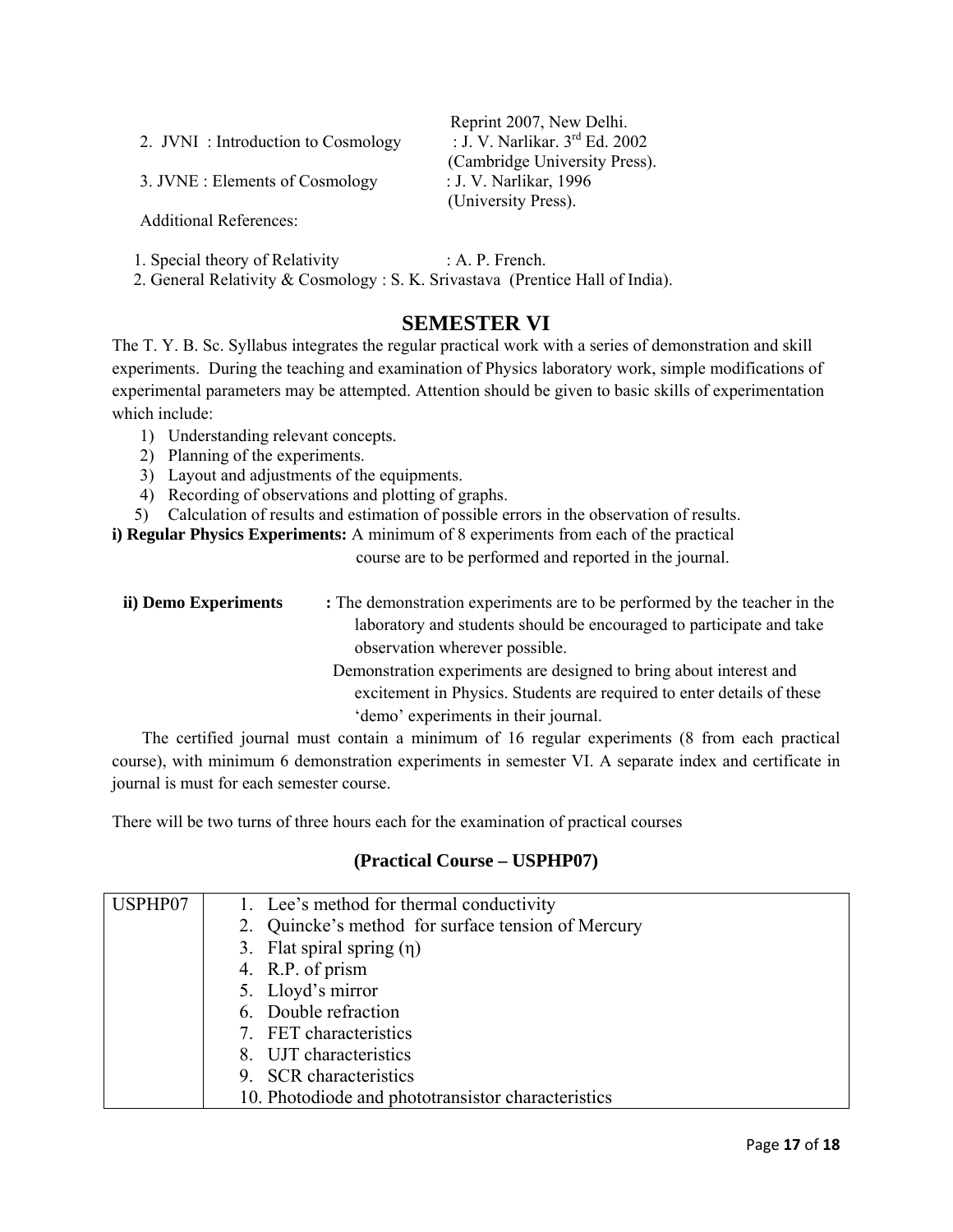2. JVNI : Introduction to Cosmology

3. JVNE : Elements of Cosmology : J. V. Narlikar, 1996

Additional References:

1. Special theory of Relativity : A. P. French.

(University Press).

Reprint 2007, New Delhi.<br>: J. V. Narlikar.  $3<sup>rd</sup>$  Ed. 2002

(Cambridge University Press).

2. General Relativity & Cosmology : S. K. Srivastava (Prentice Hall of India).

## **SEMESTER VI**

The T. Y. B. Sc. Syllabus integrates the regular practical work with a series of demonstration and skill experiments. During the teaching and examination of Physics laboratory work, simple modifications of experimental parameters may be attempted. Attention should be given to basic skills of experimentation which include:

- 1) Understanding relevant concepts.
- 2) Planning of the experiments.
- 3) Layout and adjustments of the equipments.
- 4) Recording of observations and plotting of graphs.

5) Calculation of results and estimation of possible errors in the observation of results.

**i) Regular Physics Experiments:** A minimum of 8 experiments from each of the practical course are to be performed and reported in the journal.

| ii) Demo Experiments | : The demonstration experiments are to be performed by the teacher in the |
|----------------------|---------------------------------------------------------------------------|
|                      | laboratory and students should be encouraged to participate and take      |
|                      | observation wherever possible.                                            |
|                      | Demonstration experiments are designed to bring about interest and        |
|                      | excitement in Physics. Students are required to enter details of these    |

 The certified journal must contain a minimum of 16 regular experiments (8 from each practical course), with minimum 6 demonstration experiments in semester VI. A separate index and certificate in journal is must for each semester course.

'demo' experiments in their journal.

There will be two turns of three hours each for the examination of practical courses

### **(Practical Course – USPHP07)**

| USPHP07 | 1. Lee's method for thermal conductivity           |
|---------|----------------------------------------------------|
|         | 2. Quincke's method for surface tension of Mercury |
|         | 3. Flat spiral spring $(\eta)$                     |
|         | 4. R.P. of prism                                   |
|         | 5. Lloyd's mirror                                  |
|         | 6. Double refraction                               |
|         | 7. FET characteristics                             |
|         | 8. UJT characteristics                             |
|         | 9. SCR characteristics                             |
|         | 10. Photodiode and phototransistor characteristics |